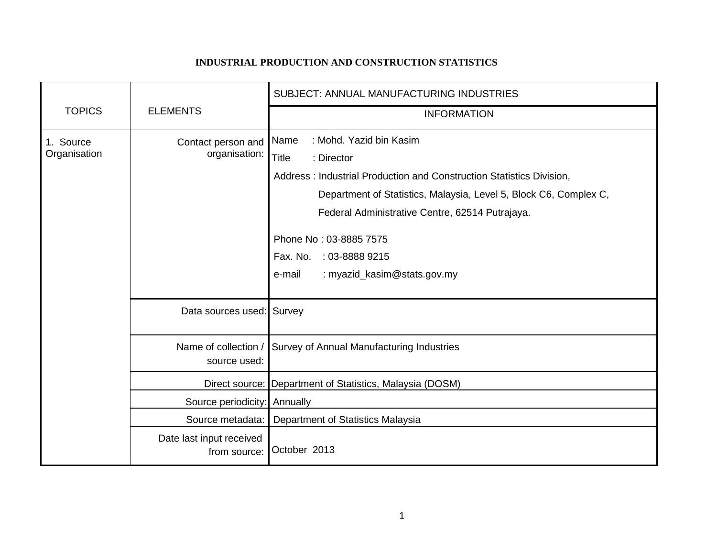## **INDUSTRIAL PRODUCTION AND CONSTRUCTION STATISTICS**

|                           |                                          | SUBJECT: ANNUAL MANUFACTURING INDUSTRIES                                                                                                                                                                                                                                                |
|---------------------------|------------------------------------------|-----------------------------------------------------------------------------------------------------------------------------------------------------------------------------------------------------------------------------------------------------------------------------------------|
| <b>TOPICS</b>             | <b>ELEMENTS</b>                          | <b>INFORMATION</b>                                                                                                                                                                                                                                                                      |
| 1. Source<br>Organisation | Contact person and<br>organisation:      | : Mohd. Yazid bin Kasim<br>Name<br><b>Title</b><br>: Director<br>Address: Industrial Production and Construction Statistics Division,<br>Department of Statistics, Malaysia, Level 5, Block C6, Complex C,<br>Federal Administrative Centre, 62514 Putrajaya.<br>Phone No: 03-8885 7575 |
|                           |                                          | Fax. No. : 03-8888 9215<br>: myazid_kasim@stats.gov.my<br>e-mail                                                                                                                                                                                                                        |
|                           | Data sources used: Survey                |                                                                                                                                                                                                                                                                                         |
|                           | Name of collection /<br>source used:     | Survey of Annual Manufacturing Industries                                                                                                                                                                                                                                               |
|                           |                                          | Direct source: Department of Statistics, Malaysia (DOSM)                                                                                                                                                                                                                                |
|                           | Source periodicity: Annually             |                                                                                                                                                                                                                                                                                         |
|                           | Source metadata:                         | Department of Statistics Malaysia                                                                                                                                                                                                                                                       |
|                           | Date last input received<br>from source: | October 2013                                                                                                                                                                                                                                                                            |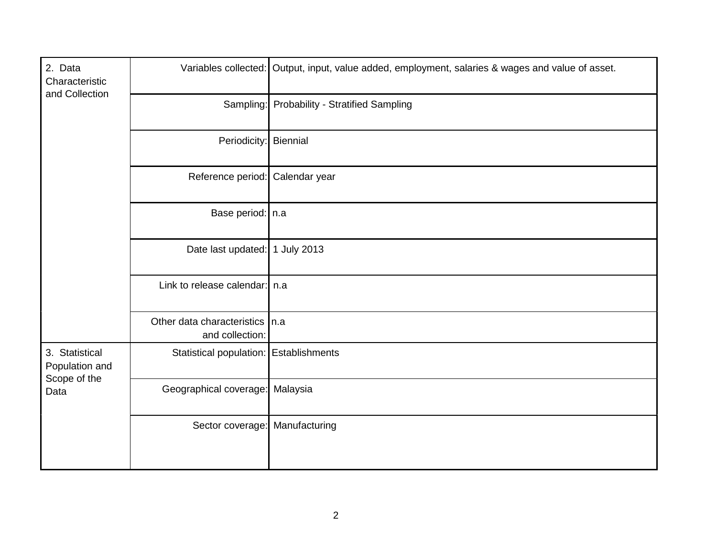| 2. Data<br>Characteristic<br>and Collection              |                                               | Variables collected: Output, input, value added, employment, salaries & wages and value of asset. |
|----------------------------------------------------------|-----------------------------------------------|---------------------------------------------------------------------------------------------------|
|                                                          |                                               | Sampling: Probability - Stratified Sampling                                                       |
|                                                          | Periodicity: Biennial                         |                                                                                                   |
|                                                          | Reference period: Calendar year               |                                                                                                   |
|                                                          | Base period:   n.a                            |                                                                                                   |
|                                                          | Date last updated: 1 July 2013                |                                                                                                   |
|                                                          | Link to release calendar:   n.a               |                                                                                                   |
|                                                          | Other data characteristics<br>and collection: | In.a                                                                                              |
| 3. Statistical<br>Population and<br>Scope of the<br>Data | Statistical population:   Establishments      |                                                                                                   |
|                                                          | Geographical coverage: Malaysia               |                                                                                                   |
|                                                          | Sector coverage: Manufacturing                |                                                                                                   |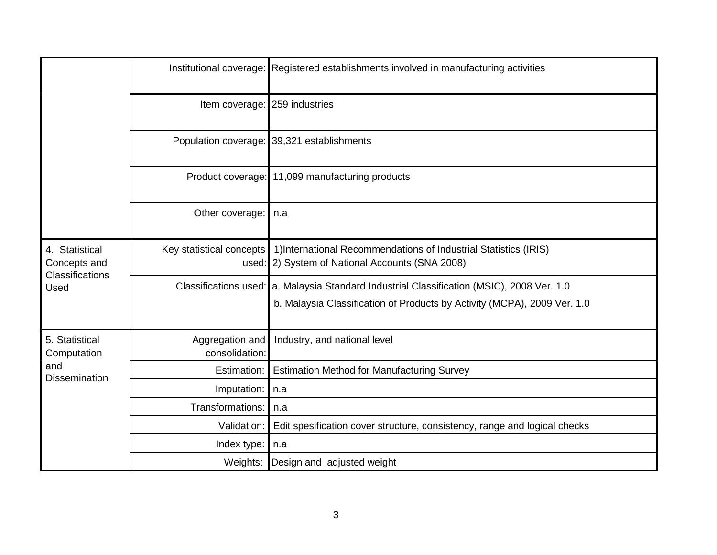|                                                                  |                                   | Institutional coverage: Registered establishments involved in manufacturing activities                                                                                   |
|------------------------------------------------------------------|-----------------------------------|--------------------------------------------------------------------------------------------------------------------------------------------------------------------------|
|                                                                  | Item coverage: 259 industries     |                                                                                                                                                                          |
|                                                                  |                                   | Population coverage: 39,321 establishments                                                                                                                               |
|                                                                  |                                   | Product coverage: 11,099 manufacturing products                                                                                                                          |
|                                                                  | Other coverage:                   | n.a                                                                                                                                                                      |
| 4. Statistical<br>Concepts and<br><b>Classifications</b><br>Used | Key statistical concepts          | 1) International Recommendations of Industrial Statistics (IRIS)<br>used: 2) System of National Accounts (SNA 2008)                                                      |
|                                                                  |                                   | Classifications used:   a. Malaysia Standard Industrial Classification (MSIC), 2008 Ver. 1.0<br>b. Malaysia Classification of Products by Activity (MCPA), 2009 Ver. 1.0 |
| 5. Statistical<br>Computation<br>and<br><b>Dissemination</b>     | Aggregation and<br>consolidation: | Industry, and national level                                                                                                                                             |
|                                                                  | Estimation:                       | <b>Estimation Method for Manufacturing Survey</b>                                                                                                                        |
|                                                                  | Imputation:                       | n.a                                                                                                                                                                      |
|                                                                  | Transformations:                  | n.a                                                                                                                                                                      |
|                                                                  | Validation:                       | Edit spesification cover structure, consistency, range and logical checks                                                                                                |
|                                                                  | Index type:   n.a                 |                                                                                                                                                                          |
|                                                                  |                                   | Weights: Design and adjusted weight                                                                                                                                      |